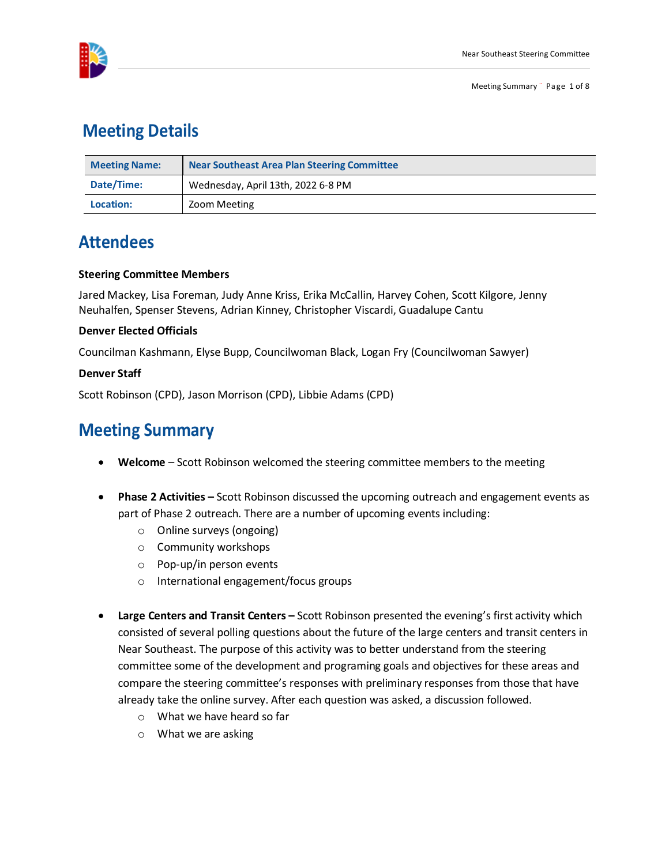

## **Meeting Details**

| <b>Meeting Name:</b> | <b>Near Southeast Area Plan Steering Committee</b> |
|----------------------|----------------------------------------------------|
| Date/Time:           | Wednesday, April 13th, 2022 6-8 PM                 |
| Location:            | Zoom Meeting                                       |

# **Attendees**

#### **Steering Committee Members**

Jared Mackey, Lisa Foreman, Judy Anne Kriss, Erika McCallin, Harvey Cohen, Scott Kilgore, Jenny Neuhalfen, Spenser Stevens, Adrian Kinney, Christopher Viscardi, Guadalupe Cantu

#### **Denver Elected Officials**

Councilman Kashmann, Elyse Bupp, Councilwoman Black, Logan Fry (Councilwoman Sawyer)

#### **Denver Staff**

Scott Robinson (CPD), Jason Morrison (CPD), Libbie Adams (CPD)

## **Meeting Summary**

- **Welcome** Scott Robinson welcomed the steering committee members to the meeting
- **Phase 2 Activities** Scott Robinson discussed the upcoming outreach and engagement events as part of Phase 2 outreach. There are a number of upcoming events including:
	- o Online surveys (ongoing)
	- o Community workshops
	- o Pop-up/in person events
	- o International engagement/focus groups
- **Large Centers and Transit Centers** Scott Robinson presented the evening's first activity which consisted of several polling questions about the future of the large centers and transit centers in Near Southeast. The purpose of this activity was to better understand from the steering committee some of the development and programing goals and objectives for these areas and compare the steering committee's responses with preliminary responses from those that have already take the online survey. After each question was asked, a discussion followed.
	- o What we have heard so far
	- o What we are asking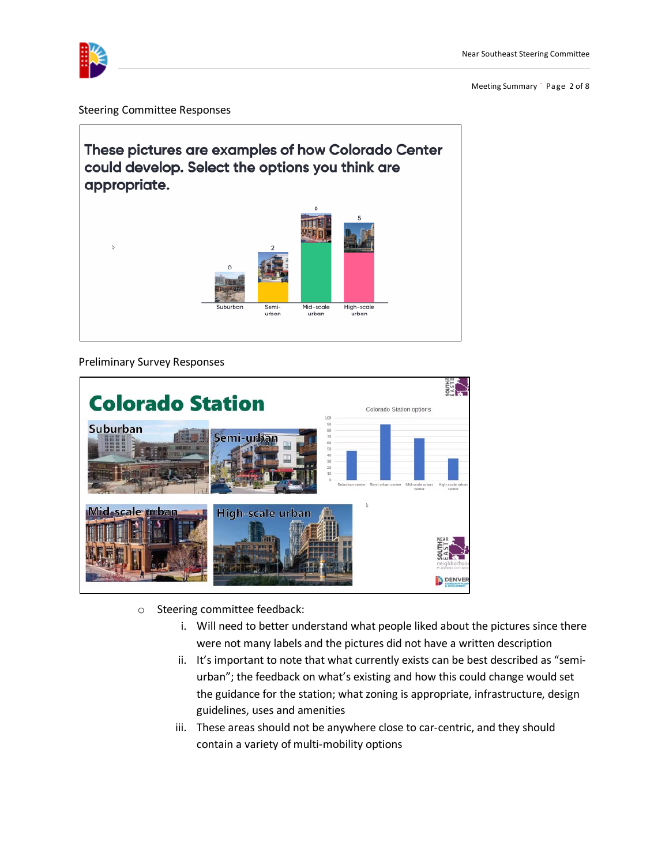

Meeting Summary ¨ Page 2 of 8

Steering Committee Responses





- o Steering committee feedback:
	- i. Will need to better understand what people liked about the pictures since there were not many labels and the pictures did not have a written description
	- ii. It's important to note that what currently exists can be best described as "semiurban"; the feedback on what's existing and how this could change would set the guidance for the station; what zoning is appropriate, infrastructure, design guidelines, uses and amenities
	- iii. These areas should not be anywhere close to car-centric, and they should contain a variety of multi-mobility options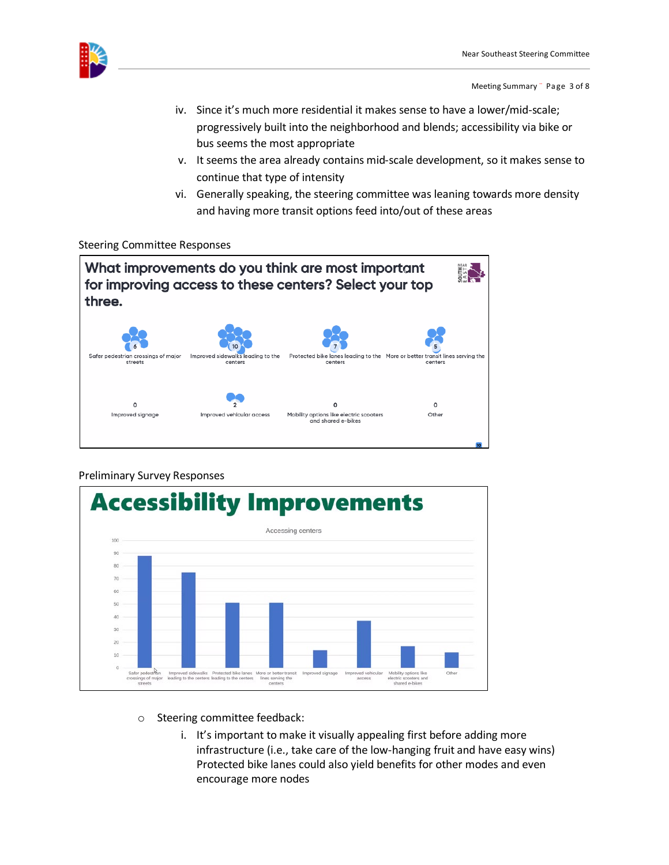

Meeting Summary ¨ Page 3 of 8

- iv. Since it's much more residential it makes sense to have a lower/mid-scale; progressively built into the neighborhood and blends; accessibility via bike or bus seems the most appropriate
- v. It seems the area already contains mid-scale development, so it makes sense to continue that type of intensity
- vi. Generally speaking, the steering committee was leaning towards more density and having more transit options feed into/out of these areas

#### Steering Committee Responses





- o Steering committee feedback:
	- i. It's important to make it visually appealing first before adding more infrastructure (i.e., take care of the low-hanging fruit and have easy wins) Protected bike lanes could also yield benefits for other modes and even encourage more nodes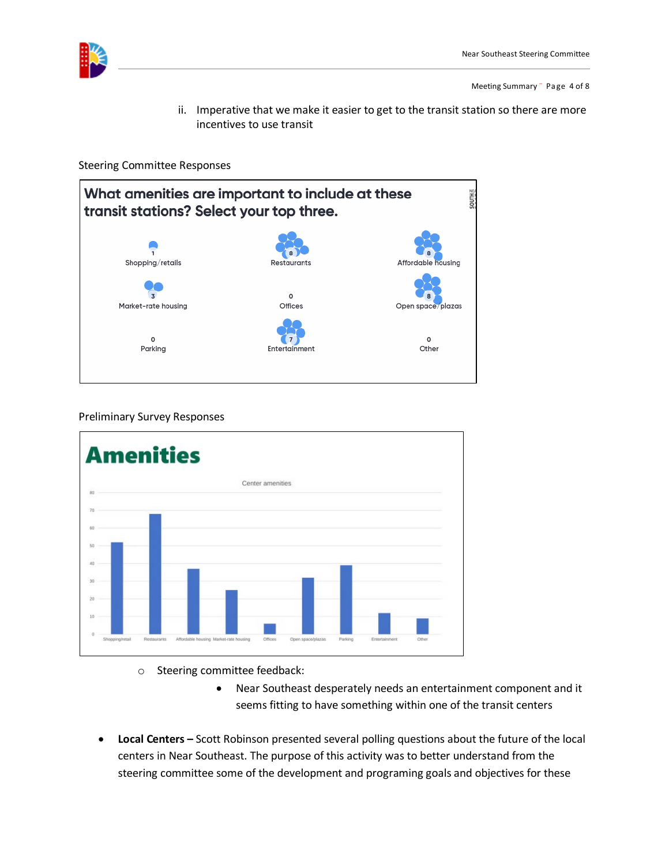

Meeting Summary ¨ Page 4 of 8

ii. Imperative that we make it easier to get to the transit station so there are more incentives to use transit

Steering Committee Responses





- o Steering committee feedback:
	- Near Southeast desperately needs an entertainment component and it seems fitting to have something within one of the transit centers
- **Local Centers** Scott Robinson presented several polling questions about the future of the local centers in Near Southeast. The purpose of this activity was to better understand from the steering committee some of the development and programing goals and objectives for these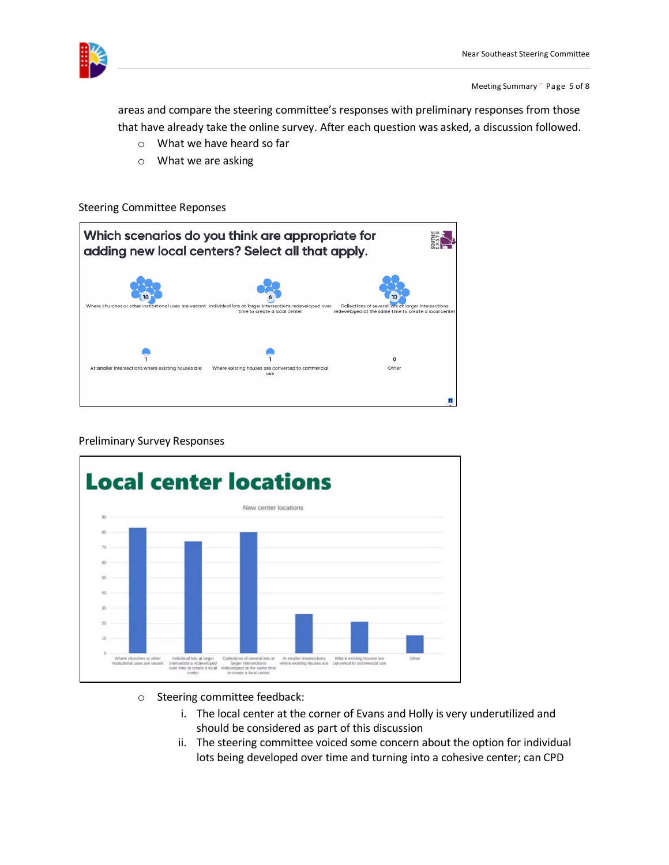

Meeting Summary ¨ Page 5 of 8

areas and compare the steering committee's responses with preliminary responses from those that have already take the online survey. After each question was asked, a discussion followed.

- o What we have heard so far
- o What we are asking

#### Steering Committee Reponses





- o Steering committee feedback:
	- i. The local center at the corner of Evans and Holly is very underutilized and should be considered as part of this discussion
	- ii. The steering committee voiced some concern about the option for individual lots being developed over time and turning into a cohesive center; can CPD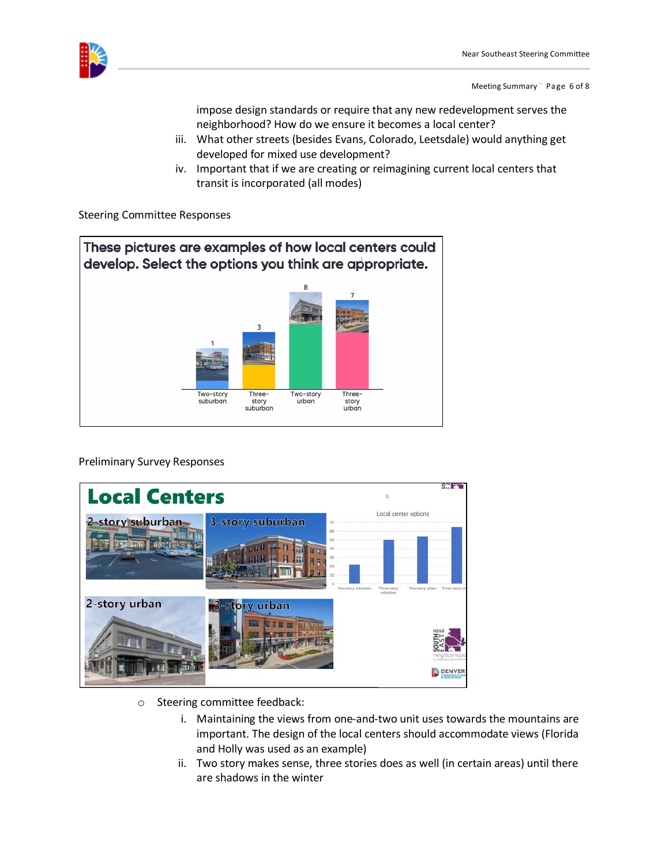

impose design standards or require that any new redevelopment serves the neighborhood? How do we ensure it becomes a local center?

- iii. What other streets (besides Evans, Colorado, Leetsdale) would anything get developed for mixed use development?
- iv. Important that if we are creating or reimagining current local centers that transit is incorporated (all modes)

Steering Committee Responses





- o Steering committee feedback:
	- i. Maintaining the views from one-and-two unit uses towards the mountains are important. The design of the local centers should accommodate views (Florida and Holly was used as an example)
	- ii. Two story makes sense, three stories does as well (in certain areas) until there are shadows in the winter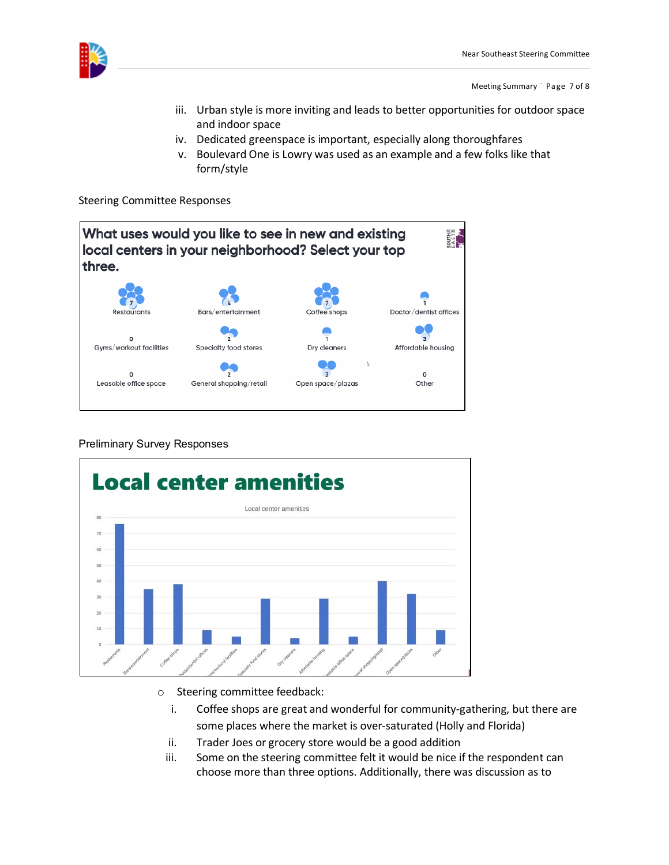

Meeting Summary ¨ Page 7 of 8

- iii. Urban style is more inviting and leads to better opportunities for outdoor space and indoor space
- iv. Dedicated greenspace is important, especially along thoroughfares
- v. Boulevard One is Lowry was used as an example and a few folks like that form/style

Steering Committee Responses





- o Steering committee feedback:
	- i. Coffee shops are great and wonderful for community-gathering, but there are some places where the market is over-saturated (Holly and Florida)
	- ii. Trader Joes or grocery store would be a good addition
	- iii. Some on the steering committee felt it would be nice if the respondent can choose more than three options. Additionally, there was discussion as to